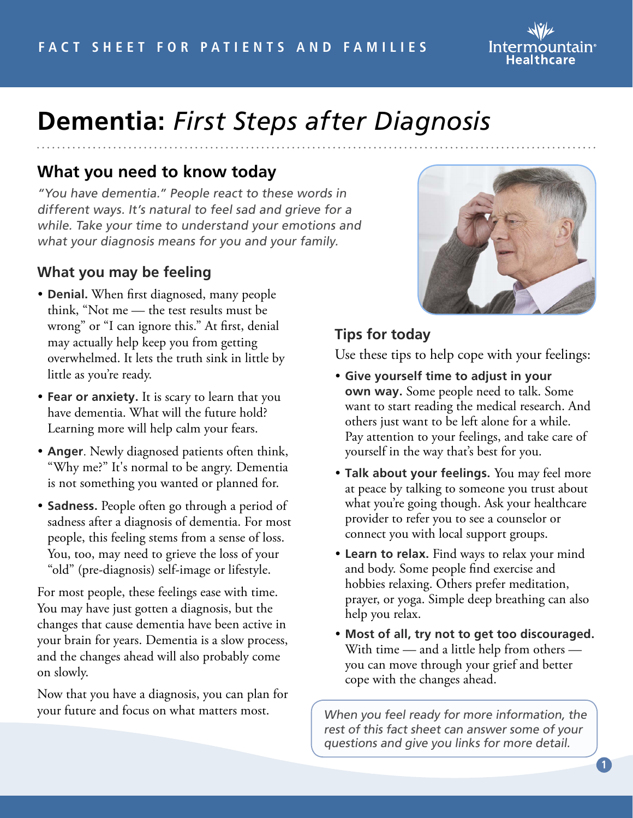

# **Dementia:** *First Steps after Diagnosis*

## **What you need to know today**

"You have dementia." People react to these words in different ways. It's natural to feel sad and grieve for a while. Take your time to understand your emotions and what your diagnosis means for you and your family.

#### **What you may be feeling**

- **Denial.** When first diagnosed, many people think, "Not me — the test results must be wrong" or "I can ignore this." At first, denial may actually help keep you from getting overwhelmed. It lets the truth sink in little by little as you're ready.
- **Fear or anxiety.** It is scary to learn that you have dementia. What will the future hold? Learning more will help calm your fears.
- **Anger**. Newly diagnosed patients often think, "Why me?" It's normal to be angry. Dementia is not something you wanted or planned for.
- **Sadness.** People often go through a period of sadness after a diagnosis of dementia. For most people, this feeling stems from a sense of loss. You, too, may need to grieve the loss of your "old" (pre-diagnosis) self-image or lifestyle.

For most people, these feelings ease with time. You may have just gotten a diagnosis, but the changes that cause dementia have been active in your brain for years. Dementia is a slow process, and the changes ahead will also probably come on slowly.

Now that you have a diagnosis, you can plan for your future and focus on what matters most.



#### **Tips for today**

Use these tips to help cope with your feelings:

- **Give yourself time to adjust in your own way.** Some people need to talk. Some want to start reading the medical research. And others just want to be left alone for a while. Pay attention to your feelings, and take care of yourself in the way that's best for you.
- **Talk about your feelings.** You may feel more at peace by talking to someone you trust about what you're going though. Ask your healthcare provider to refer you to see a counselor or connect you with local support groups.
- **Learn to relax.** Find ways to relax your mind and body. Some people find exercise and hobbies relaxing. Others prefer meditation, prayer, or yoga. Simple deep breathing can also help you relax.
- **Most of all, try not to get too discouraged.** With time — and a little help from others you can move through your grief and better cope with the changes ahead.

When you feel ready for more information, the rest of this fact sheet can answer some of your questions and give you links for more detail.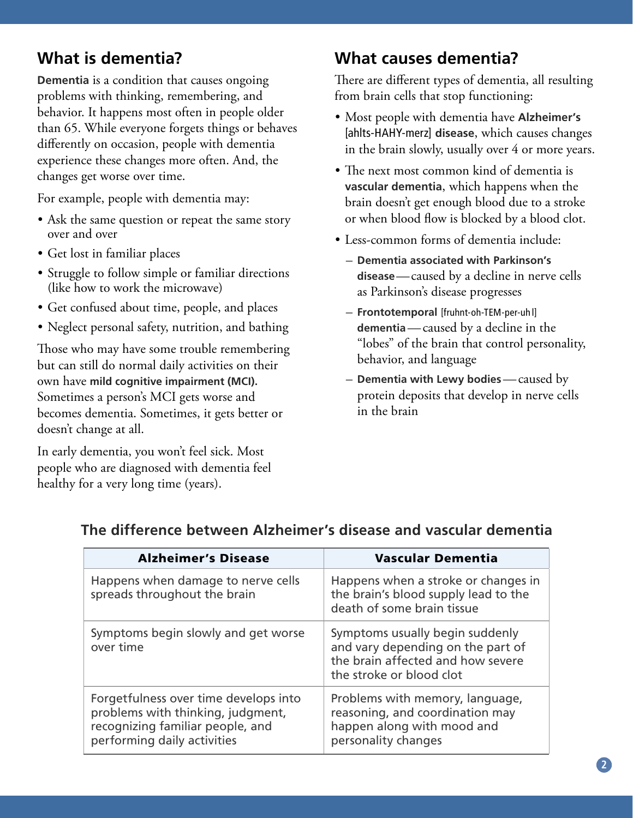# **What is dementia?**

**Dementia** is a condition that causes ongoing problems with thinking, remembering, and behavior. It happens most often in people older than 65. While everyone forgets things or behaves differently on occasion, people with dementia experience these changes more often. And, the changes get worse over time.

For example, people with dementia may:

- Ask the same question or repeat the same story over and over
- Get lost in familiar places
- Struggle to follow simple or familiar directions (like how to work the microwave)
- Get confused about time, people, and places
- Neglect personal safety, nutrition, and bathing

Those who may have some trouble remembering but can still do normal daily activities on their own have **mild cognitive impairment (MCI).** Sometimes a person's MCI gets worse and becomes dementia. Sometimes, it gets better or doesn't change at all.

In early dementia, you won't feel sick. Most people who are diagnosed with dementia feel healthy for a very long time (years).

#### **What causes dementia?**

There are different types of dementia, all resulting from brain cells that stop functioning:

- Most people with dementia have **Alzheimer's** [ahlts-HAHY-merz] **disease**, which causes changes in the brain slowly, usually over 4 or more years.
- The next most common kind of dementia is **vascular dementia**, which happens when the brain doesn't get enough blood due to a stroke or when blood flow is blocked by a blood clot.
- Less-common forms of dementia include:
	- **Dementia associated with Parkinson's disease**—caused by a decline in nerve cells as Parkinson's disease progresses
	- **Frontotemporal** [fruhnt-oh-TEM-per-uh l] **dementia**—caused by a decline in the "lobes" of the brain that control personality, behavior, and language
	- **Dementia with Lewy bodies**—caused by protein deposits that develop in nerve cells in the brain

| <b>Alzheimer's Disease</b>                                                                                                                    | <b>Vascular Dementia</b>                                                                                                              |
|-----------------------------------------------------------------------------------------------------------------------------------------------|---------------------------------------------------------------------------------------------------------------------------------------|
| Happens when damage to nerve cells<br>spreads throughout the brain                                                                            | Happens when a stroke or changes in<br>the brain's blood supply lead to the<br>death of some brain tissue                             |
| Symptoms begin slowly and get worse<br>over time                                                                                              | Symptoms usually begin suddenly<br>and vary depending on the part of<br>the brain affected and how severe<br>the stroke or blood clot |
| Forgetfulness over time develops into<br>problems with thinking, judgment,<br>recognizing familiar people, and<br>performing daily activities | Problems with memory, language,<br>reasoning, and coordination may<br>happen along with mood and<br>personality changes               |

#### **The difference between Alzheimer's disease and vascular dementia**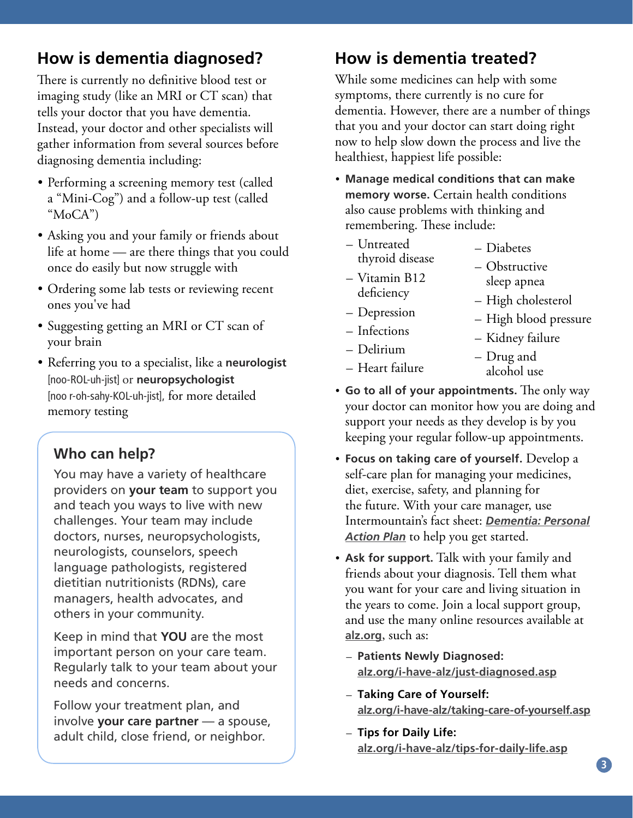# **How is dementia diagnosed?**

There is currently no definitive blood test or imaging study (like an MRI or CT scan) that tells your doctor that you have dementia. Instead, your doctor and other specialists will gather information from several sources before diagnosing dementia including:

- Performing a screening memory test (called a "Mini-Cog") and a follow-up test (called "MoCA")
- Asking you and your family or friends about life at home — are there things that you could once do easily but now struggle with
- Ordering some lab tests or reviewing recent ones you've had
- Suggesting getting an MRI or CT scan of your brain
- Referring you to a specialist, like a **neurologist** [noo-ROL-uh-jist] or **neuropsychologist** [noo r-oh-sahy-KOL-uh-jist], for more detailed memory testing

#### **Who can help?**

You may have a variety of healthcare providers on **your team** to support you and teach you ways to live with new challenges. Your team may include doctors, nurses, neuropsychologists, neurologists, counselors, speech language pathologists, registered dietitian nutritionists (RDNs), care managers, health advocates, and others in your community.

Keep in mind that **YOU** are the most important person on your care team. Regularly talk to your team about your needs and concerns.

Follow your treatment plan, and involve **your care partner** — a spouse, adult child, close friend, or neighbor.

# **How is dementia treated?**

While some medicines can help with some symptoms, there currently is no cure for dementia. However, there are a number of things that you and your doctor can start doing right now to help slow down the process and live the healthiest, happiest life possible:

- **Manage medical conditions that can make memory worse.** Certain health conditions also cause problems with thinking and remembering. These include:
	- Untreated thyroid disease
	- Vitamin B12 deficiency
	- Depression
	- Infections
	- Delirium
	- Heart failure
- alcohol use
- **Go to all of your appointments.** The only way your doctor can monitor how you are doing and support your needs as they develop is by you keeping your regular follow-up appointments.
- **Focus on taking care of yourself.** Develop a self-care plan for managing your medicines, diet, exercise, safety, and planning for the future. With your care manager, use Intermountain's fact sheet: *[Dementia: Personal](https://intermountainhealthcare.org/ext/Dcmnt?ncid=529162372) [Action Plan](https://intermountainhealthcare.org/ext/Dcmnt?ncid=529162372)* to help you get started.
- **Ask for support.** Talk with your family and friends about your diagnosis. Tell them what you want for your care and living situation in the years to come. Join a local support group, and use the many online resources available at **[alz.org](http://www.alz.org)**, such as:
	- **Patients Newly Diagnosed: [alz.org/i-have-alz/just-diagnosed.asp](http://www.alz.org/i-have-alz/just-diagnosed.asp)**
	- **Taking Care of Yourself: [alz.org/i-have-alz/taking-care-of-yourself.asp](http://www.alz.org/i-have-alz/taking-care-of-yourself.asp)**
	- **Tips for Daily Life: [alz.org/i-have-alz/tips-for-daily-life.asp](http://www.alz.org/i-have-alz/tips-for-daily-life.asp)**

sleep apnea – High cholesterol

– Kidney failure

– High blood pressure

– Obstructive

– Diabetes

- - - Drug and
		-